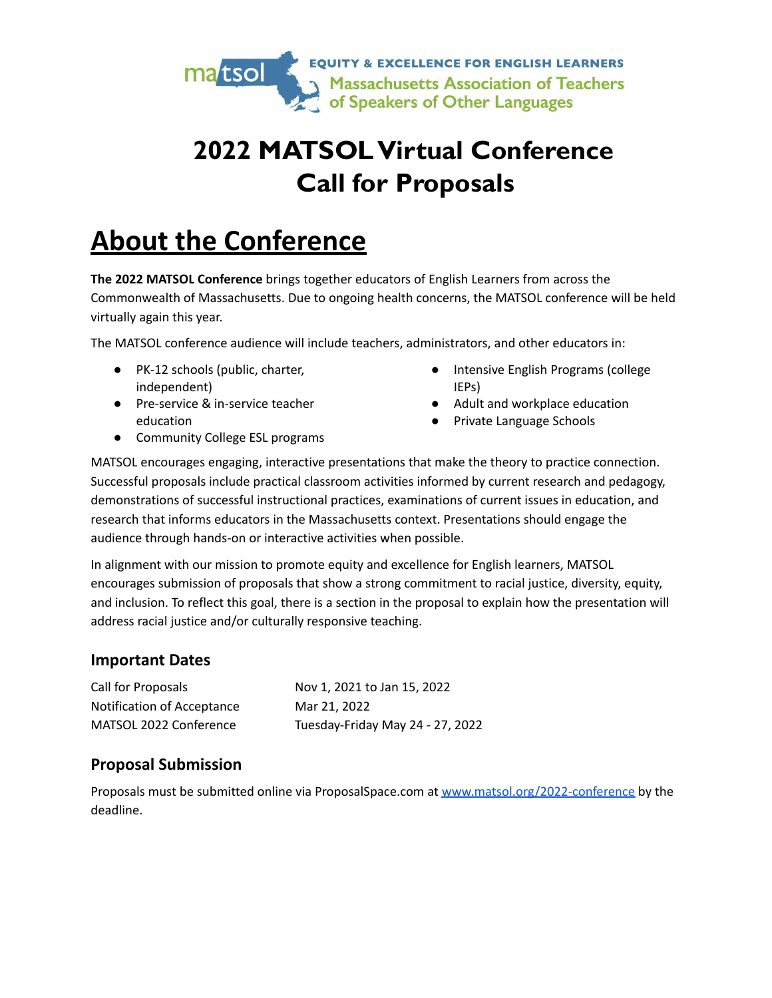

# **2022 MATSOL Virtual Conference Call for Proposals**

# **About the Conference**

**The 2022 MATSOL Conference** brings together educators of English Learners from across the Commonwealth of Massachusetts. Due to ongoing health concerns, the MATSOL conference will be held virtually again this year.

The MATSOL conference audience will include teachers, administrators, and other educators in:

- PK-12 schools (public, charter, independent)
- Pre-service & in-service teacher education
- Intensive English Programs (college IEPs)
- Adult and workplace education
- Private Language Schools

● Community College ESL programs

MATSOL encourages engaging, interactive presentations that make the theory to practice connection. Successful proposals include practical classroom activities informed by current research and pedagogy, demonstrations of successful instructional practices, examinations of current issues in education, and research that informs educators in the Massachusetts context. Presentations should engage the audience through hands-on or interactive activities when possible.

In alignment with our mission to promote equity and excellence for English learners, MATSOL encourages submission of proposals that show a strong commitment to racial justice, diversity, equity, and inclusion. To reflect this goal, there is a section in the proposal to explain how the presentation will address racial justice and/or culturally responsive teaching.

#### **Important Dates**

| Call for Proposals         | Nov 1, 2021 to Jan 15, 2022      |
|----------------------------|----------------------------------|
| Notification of Acceptance | Mar 21, 2022                     |
| MATSOL 2022 Conference     | Tuesday-Friday May 24 - 27, 2022 |

## **Proposal Submission**

Proposals must be submitted online via ProposalSpace.com at [www.matsol.org/2022-conference](http://www.matsol.org/2022-conference) by the deadline.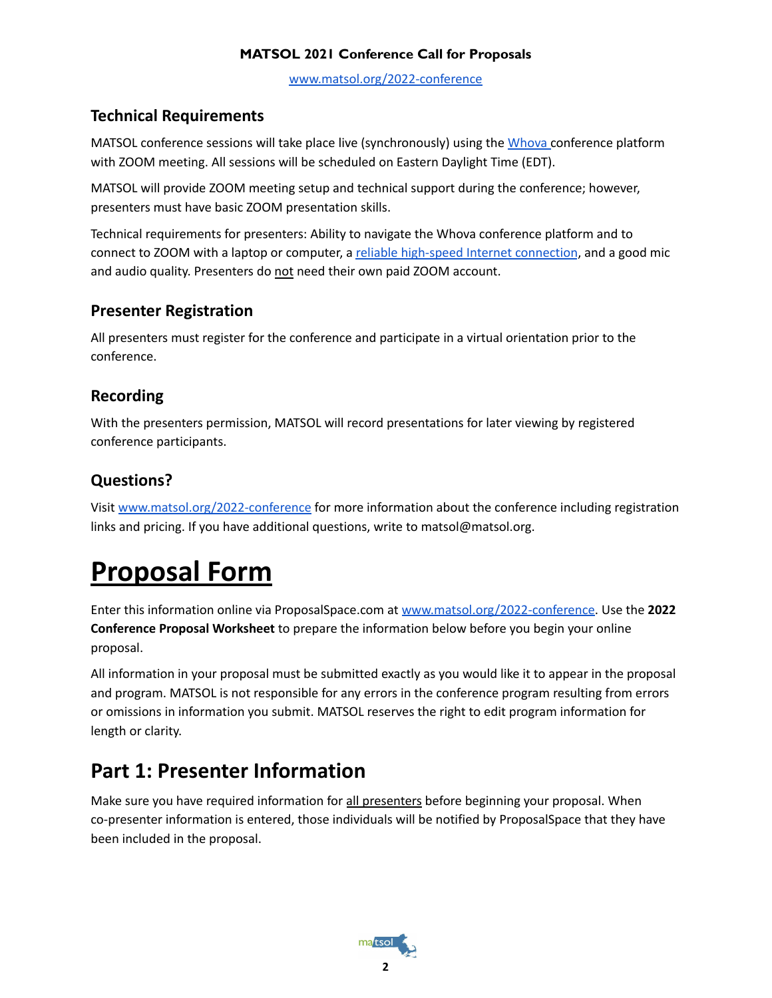[www.matsol.org/2022-conference](http://www.matsol.org/2022-conference)

# **Technical Requirements**

MATSOL conference sessions will take place live (synchronously) using the [Whova](https://whova.com/) conference platform with ZOOM meeting. All sessions will be scheduled on Eastern Daylight Time (EDT).

MATSOL will provide ZOOM meeting setup and technical support during the conference; however, presenters must have basic ZOOM presentation skills.

Technical requirements for presenters: Ability to navigate the Whova conference platform and to connect to ZOOM with a laptop or computer, a reliable [high-speed](https://support.zoom.us/hc/en-us/articles/201362023-System-requirements-for-Windows-macOS-and-Linux) Internet connection, and a good mic and audio quality. Presenters do not need their own paid ZOOM account.

# **Presenter Registration**

All presenters must register for the conference and participate in a virtual orientation prior to the conference.

# **Recording**

With the presenters permission, MATSOL will record presentations for later viewing by registered conference participants.

# **Questions?**

Visit [www.matsol.org/2022-conference](http://www.matsol.org/2022-conference) for more information about the conference including registration links and pricing. If you have additional questions, write to matsol@matsol.org.

# **Proposal Form**

Enter this information online via ProposalSpace.com at [www.matsol.org/2022-conference](http://www.matsol.org/2022-conference). Use the **2022 Conference Proposal Worksheet** to prepare the information below before you begin your online proposal.

All information in your proposal must be submitted exactly as you would like it to appear in the proposal and program. MATSOL is not responsible for any errors in the conference program resulting from errors or omissions in information you submit. MATSOL reserves the right to edit program information for length or clarity.

# **Part 1: Presenter Information**

Make sure you have required information for all presenters before beginning your proposal. When co-presenter information is entered, those individuals will be notified by ProposalSpace that they have been included in the proposal.

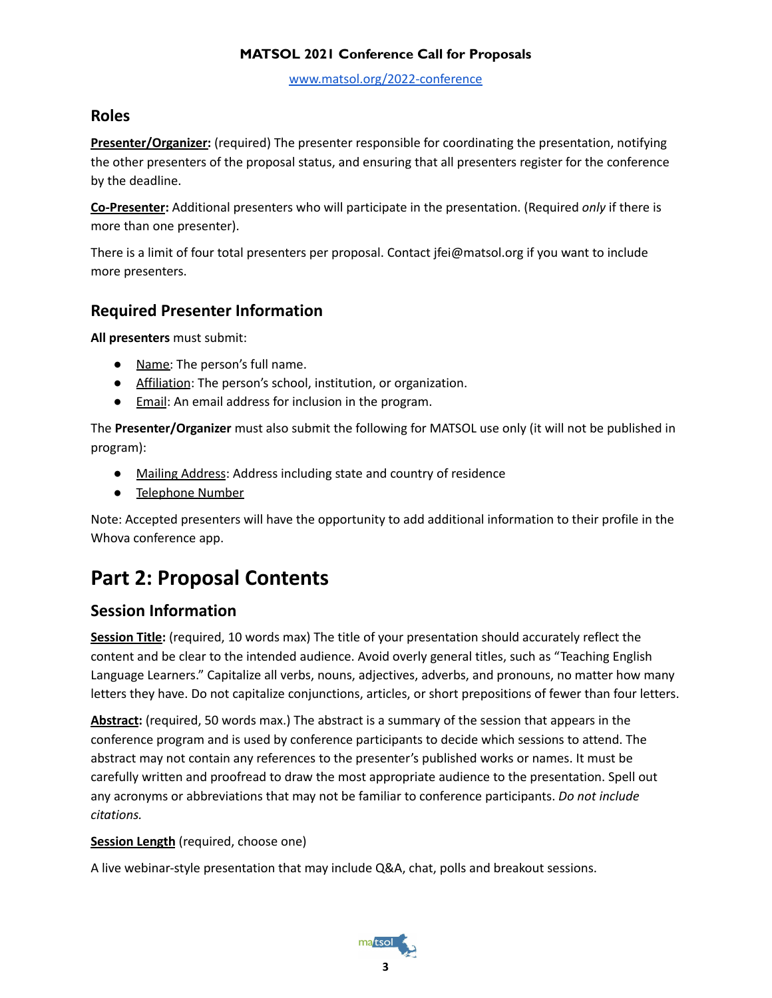[www.matsol.org/2022-conference](http://www.matsol.org/2022-conference)

### **Roles**

**Presenter/Organizer:** (required) The presenter responsible for coordinating the presentation, notifying the other presenters of the proposal status, and ensuring that all presenters register for the conference by the deadline.

**Co-Presenter:** Additional presenters who will participate in the presentation. (Required *only* if there is more than one presenter).

There is a limit of four total presenters per proposal. Contact jfei@matsol.org if you want to include more presenters.

## **Required Presenter Information**

**All presenters** must submit:

- Name: The person's full name.
- Affiliation: The person's school, institution, or organization.
- Email: An email address for inclusion in the program.

The **Presenter/Organizer** must also submit the following for MATSOL use only (it will not be published in program):

- Mailing Address: Address including state and country of residence
- Telephone Number

Note: Accepted presenters will have the opportunity to add additional information to their profile in the Whova conference app.

# **Part 2: Proposal Contents**

## **Session Information**

**Session Title:** (required, 10 words max) The title of your presentation should accurately reflect the content and be clear to the intended audience. Avoid overly general titles, such as "Teaching English Language Learners." Capitalize all verbs, nouns, adjectives, adverbs, and pronouns, no matter how many letters they have. Do not capitalize conjunctions, articles, or short prepositions of fewer than four letters.

**Abstract:** (required, 50 words max.) The abstract is a summary of the session that appears in the conference program and is used by conference participants to decide which sessions to attend. The abstract may not contain any references to the presenter's published works or names. It must be carefully written and proofread to draw the most appropriate audience to the presentation. Spell out any acronyms or abbreviations that may not be familiar to conference participants. *Do not include citations.*

#### **Session Length** (required, choose one)

A live webinar-style presentation that may include Q&A, chat, polls and breakout sessions.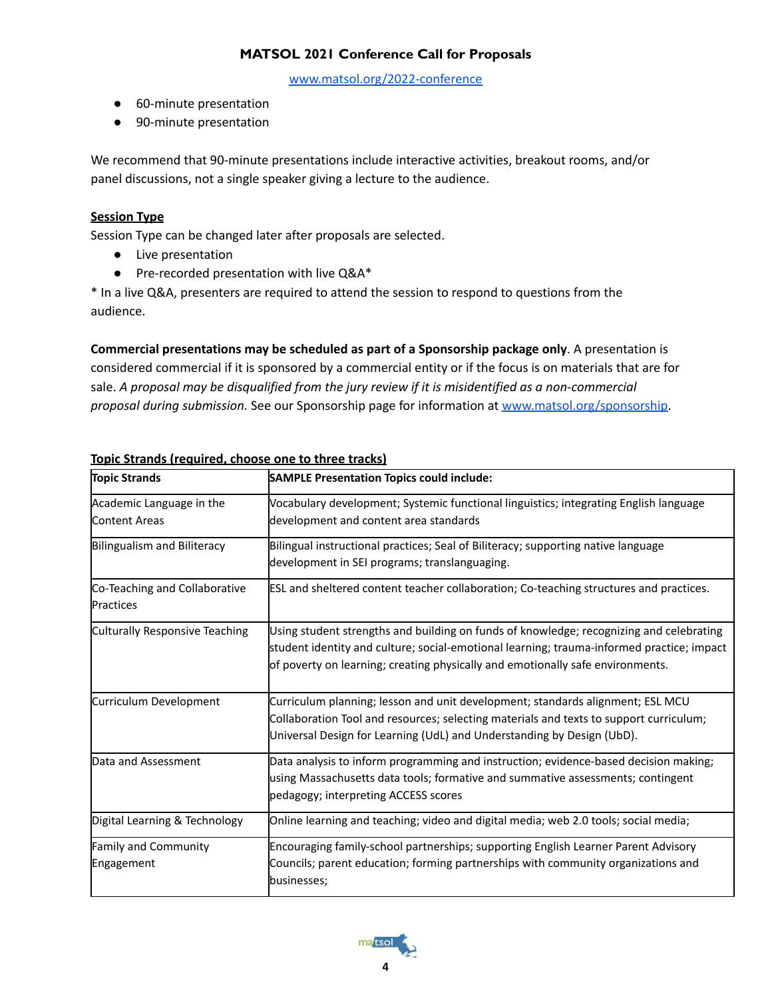[www.matsol.org/2022-conference](http://www.matsol.org/2022-conference)

- 60-minute presentation
- 90-minute presentation

We recommend that 90-minute presentations include interactive activities, breakout rooms, and/or panel discussions, not a single speaker giving a lecture to the audience.

#### **Session Type**

Session Type can be changed later after proposals are selected.

- Live presentation
- Pre-recorded presentation with live Q&A\*

\* In a live Q&A, presenters are required to attend the session to respond to questions from the audience.

**Commercial presentations may be scheduled as part of a Sponsorship package only**. A presentation is considered commercial if it is sponsored by a commercial entity or if the focus is on materials that are for sale. *A proposal may be disqualified from the jury review if it is misidentified as a non-commercial proposal during submission.* See our Sponsorship page for information at [www.matsol.org/sponsorship.](http://www.matsol.org/sponsorship)

| <b>Topic Strands</b>                              | <b>SAMPLE Presentation Topics could include:</b>                                                                                                                                                                                                                       |  |  |
|---------------------------------------------------|------------------------------------------------------------------------------------------------------------------------------------------------------------------------------------------------------------------------------------------------------------------------|--|--|
| Academic Language in the<br><b>Content Areas</b>  | Vocabulary development; Systemic functional linguistics; integrating English language<br>development and content area standards                                                                                                                                        |  |  |
| <b>Bilingualism and Biliteracy</b>                | Bilingual instructional practices; Seal of Biliteracy; supporting native language<br>development in SEI programs; translanguaging.                                                                                                                                     |  |  |
| Co-Teaching and Collaborative<br><b>Practices</b> | ESL and sheltered content teacher collaboration; Co-teaching structures and practices.                                                                                                                                                                                 |  |  |
| Culturally Responsive Teaching                    | Using student strengths and building on funds of knowledge; recognizing and celebrating<br>student identity and culture; social-emotional learning; trauma-informed practice; impact<br>of poverty on learning; creating physically and emotionally safe environments. |  |  |
| Curriculum Development                            | Curriculum planning; lesson and unit development; standards alignment; ESL MCU<br>Collaboration Tool and resources; selecting materials and texts to support curriculum;<br>Universal Design for Learning (UdL) and Understanding by Design (UbD).                     |  |  |
| Data and Assessment                               | Data analysis to inform programming and instruction; evidence-based decision making;<br>using Massachusetts data tools; formative and summative assessments; contingent<br>pedagogy; interpreting ACCESS scores                                                        |  |  |
| Digital Learning & Technology                     | Online learning and teaching; video and digital media; web 2.0 tools; social media;                                                                                                                                                                                    |  |  |
| Family and Community<br>Engagement                | Encouraging family-school partnerships; supporting English Learner Parent Advisory<br>Councils; parent education; forming partnerships with community organizations and<br>businesses;                                                                                 |  |  |

#### **Topic Strands (required, choose one to three tracks)**

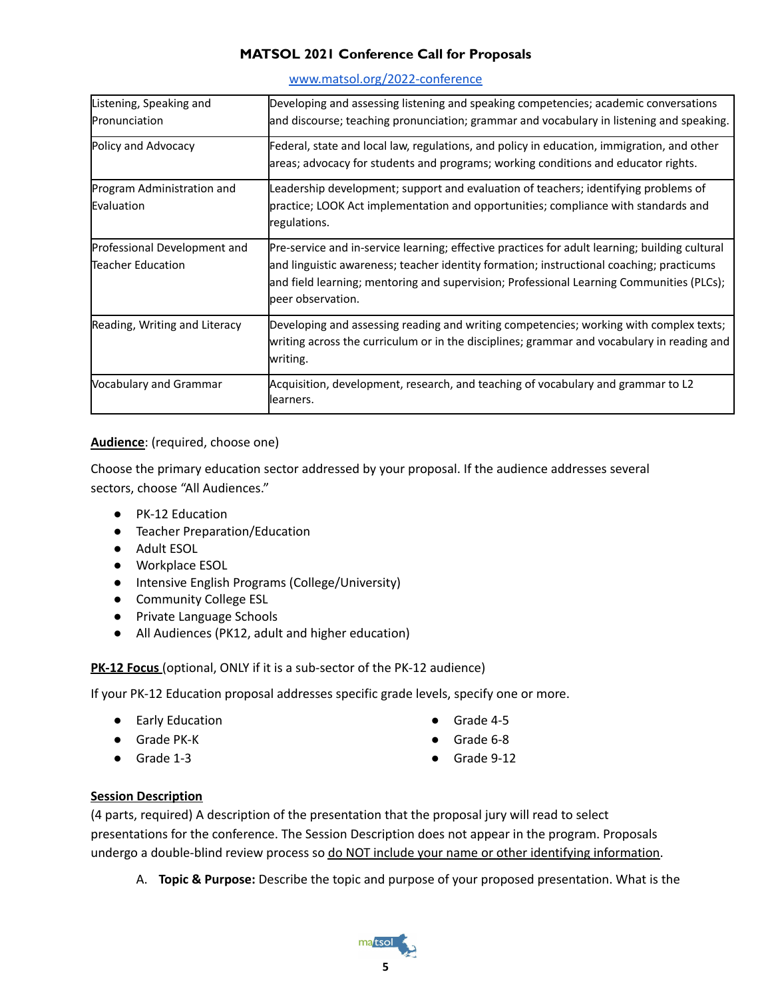| Listening, Speaking and<br>Pronunciation          | Developing and assessing listening and speaking competencies; academic conversations<br>and discourse; teaching pronunciation; grammar and vocabulary in listening and speaking.                                                                                                                            |
|---------------------------------------------------|-------------------------------------------------------------------------------------------------------------------------------------------------------------------------------------------------------------------------------------------------------------------------------------------------------------|
| Policy and Advocacy                               | Federal, state and local law, regulations, and policy in education, immigration, and other<br>areas; advocacy for students and programs; working conditions and educator rights.                                                                                                                            |
| Program Administration and<br>Evaluation          | Leadership development; support and evaluation of teachers; identifying problems of<br>practice; LOOK Act implementation and opportunities; compliance with standards and<br>regulations.                                                                                                                   |
| Professional Development and<br>Teacher Education | Pre-service and in-service learning; effective practices for adult learning; building cultural<br>and linguistic awareness; teacher identity formation; instructional coaching; practicums<br>and field learning; mentoring and supervision; Professional Learning Communities (PLCs);<br>peer observation. |
| Reading, Writing and Literacy                     | Developing and assessing reading and writing competencies; working with complex texts;<br>writing across the curriculum or in the disciplines; grammar and vocabulary in reading and<br>writing.                                                                                                            |
| Vocabulary and Grammar                            | Acquisition, development, research, and teaching of vocabulary and grammar to L2<br>llearners.                                                                                                                                                                                                              |

#### [www.matsol.org/2022-conference](http://www.matsol.org/2022-conference)

#### **Audience**: (required, choose one)

Choose the primary education sector addressed by your proposal. If the audience addresses several sectors, choose "All Audiences."

- PK-12 Education
- Teacher Preparation/Education
- Adult ESOL
- Workplace ESOL
- Intensive English Programs (College/University)
- Community College ESL
- Private Language Schools
- All Audiences (PK12, adult and higher education)

**PK-12 Focus** (optional, ONLY if it is a sub-sector of the PK-12 audience)

If your PK-12 Education proposal addresses specific grade levels, specify one or more.

- Early Education
- Grade PK-K
- Grade 1-3
- Grade 4-5
- Grade 6-8
- Grade 9-12

#### **Session Description**

(4 parts, required) A description of the presentation that the proposal jury will read to select presentations for the conference. The Session Description does not appear in the program. Proposals undergo a double-blind review process so do NOT include your name or other identifying information.

A. **Topic & Purpose:** Describe the topic and purpose of your proposed presentation. What is the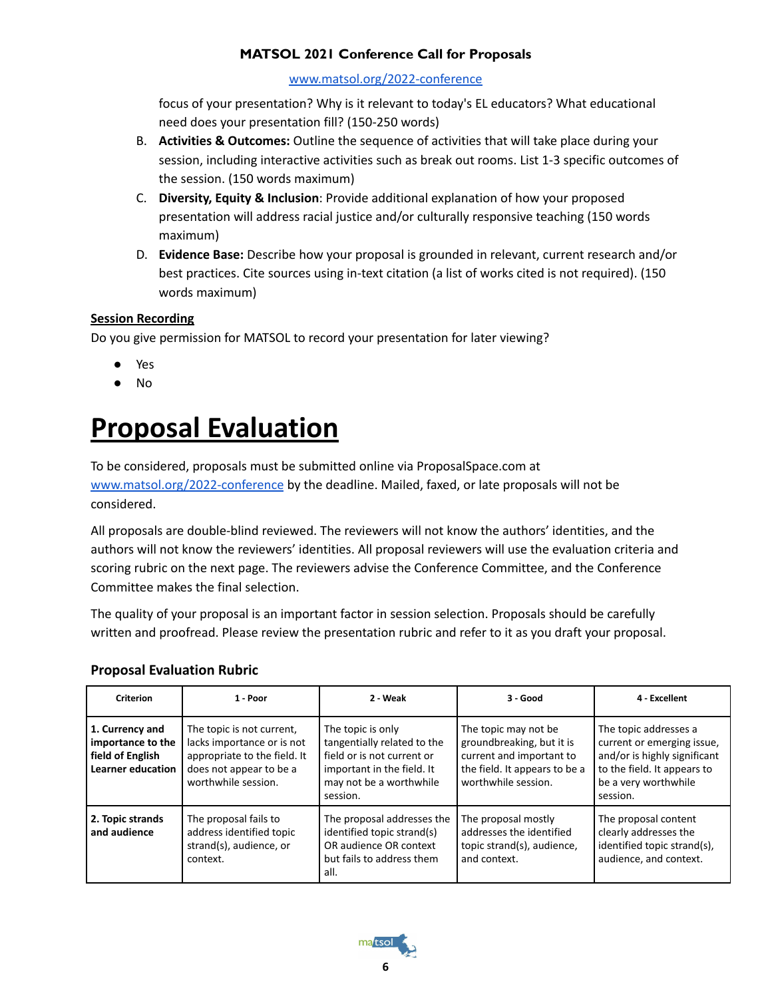#### [www.matsol.org/2022-conference](http://www.matsol.org/2022-conference)

focus of your presentation? Why is it relevant to today's EL educators? What educational need does your presentation fill? (150-250 words)

- B. **Activities & Outcomes:** Outline the sequence of activities that will take place during your session, including interactive activities such as break out rooms. List 1-3 specific outcomes of the session. (150 words maximum)
- C. **Diversity, Equity & Inclusion**: Provide additional explanation of how your proposed presentation will address racial justice and/or culturally responsive teaching (150 words maximum)
- D. **Evidence Base:** Describe how your proposal is grounded in relevant, current research and/or best practices. Cite sources using in-text citation (a list of works cited is not required). (150 words maximum)

#### **Session Recording**

Do you give permission for MATSOL to record your presentation for later viewing?

- Yes
- No

# **Proposal Evaluation**

To be considered, proposals must be submitted online via ProposalSpace.com at [www.matsol.org/2022-conference](http://www.matsol.org/2022-conference) by the deadline. Mailed, faxed, or late proposals will not be considered.

All proposals are double-blind reviewed. The reviewers will not know the authors' identities, and the authors will not know the reviewers' identities. All proposal reviewers will use the evaluation criteria and scoring rubric on the next page. The reviewers advise the Conference Committee, and the Conference Committee makes the final selection.

The quality of your proposal is an important factor in session selection. Proposals should be carefully written and proofread. Please review the presentation rubric and refer to it as you draft your proposal.

#### **Proposal Evaluation Rubric**

| <b>Criterion</b>                                                                     | 1 - Poor                                                                                                                                  | 2 - Weak                                                                                                                                            | $3 - Good$                                                                                                                            | 4 - Excellent                                                                                                                                          |
|--------------------------------------------------------------------------------------|-------------------------------------------------------------------------------------------------------------------------------------------|-----------------------------------------------------------------------------------------------------------------------------------------------------|---------------------------------------------------------------------------------------------------------------------------------------|--------------------------------------------------------------------------------------------------------------------------------------------------------|
| 1. Currency and<br>importance to the<br>field of English<br><b>Learner education</b> | The topic is not current,<br>lacks importance or is not<br>appropriate to the field. It<br>does not appear to be a<br>worthwhile session. | The topic is only<br>tangentially related to the<br>field or is not current or<br>important in the field. It<br>may not be a worthwhile<br>session. | The topic may not be<br>groundbreaking, but it is<br>current and important to<br>the field. It appears to be a<br>worthwhile session. | The topic addresses a<br>current or emerging issue,<br>and/or is highly significant<br>to the field. It appears to<br>be a very worthwhile<br>session. |
| 2. Topic strands<br>and audience                                                     | The proposal fails to<br>address identified topic<br>strand(s), audience, or<br>context.                                                  | The proposal addresses the<br>identified topic strand(s)<br>OR audience OR context<br>but fails to address them<br>all.                             | The proposal mostly<br>addresses the identified<br>topic strand(s), audience,<br>and context.                                         | The proposal content<br>clearly addresses the<br>identified topic strand(s),<br>audience, and context.                                                 |